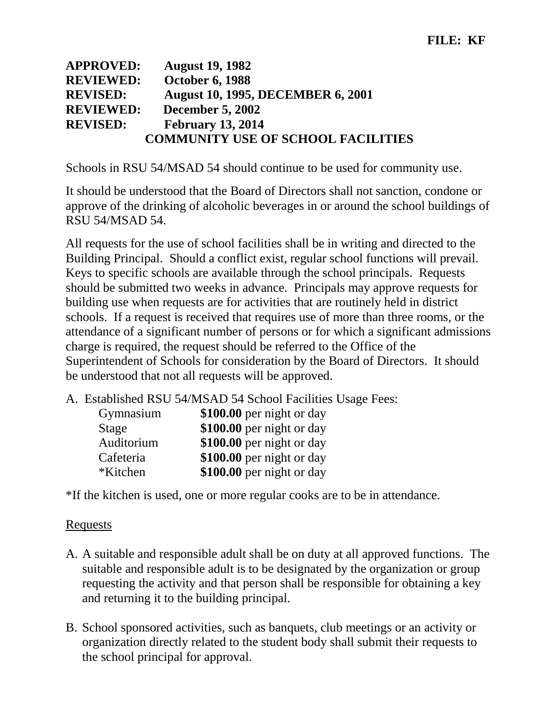| <b>APPROVED:</b> | <b>August 19, 1982</b>                    |
|------------------|-------------------------------------------|
| <b>REVIEWED:</b> | <b>October 6, 1988</b>                    |
| <b>REVISED:</b>  | <b>August 10, 1995, DECEMBER 6, 2001</b>  |
| <b>REVIEWED:</b> | <b>December 5, 2002</b>                   |
| <b>REVISED:</b>  | <b>February 13, 2014</b>                  |
|                  | <b>COMMUNITY USE OF SCHOOL FACILITIES</b> |

Schools in RSU 54/MSAD 54 should continue to be used for community use.

It should be understood that the Board of Directors shall not sanction, condone or approve of the drinking of alcoholic beverages in or around the school buildings of RSU 54/MSAD 54.

All requests for the use of school facilities shall be in writing and directed to the Building Principal. Should a conflict exist, regular school functions will prevail. Keys to specific schools are available through the school principals. Requests should be submitted two weeks in advance. Principals may approve requests for building use when requests are for activities that are routinely held in district schools. If a request is received that requires use of more than three rooms, or the attendance of a significant number of persons or for which a significant admissions charge is required, the request should be referred to the Office of the Superintendent of Schools for consideration by the Board of Directors. It should be understood that not all requests will be approved.

A. Established RSU 54/MSAD 54 School Facilities Usage Fees:

| Gymnasium  | \$100.00 per night or day |
|------------|---------------------------|
| Stage      | \$100.00 per night or day |
| Auditorium | \$100.00 per night or day |
| Cafeteria  | \$100.00 per night or day |
| *Kitchen*  | \$100.00 per night or day |

\*If the kitchen is used, one or more regular cooks are to be in attendance.

### Requests

- A. A suitable and responsible adult shall be on duty at all approved functions. The suitable and responsible adult is to be designated by the organization or group requesting the activity and that person shall be responsible for obtaining a key and returning it to the building principal.
- B. School sponsored activities, such as banquets, club meetings or an activity or organization directly related to the student body shall submit their requests to the school principal for approval.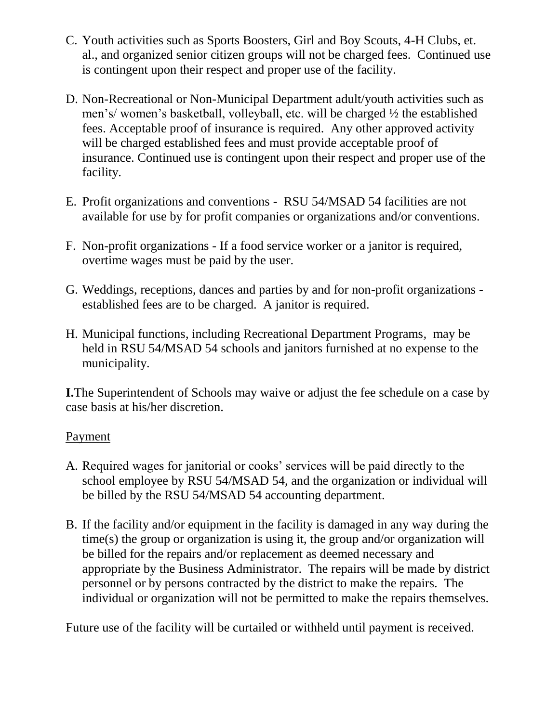- C. Youth activities such as Sports Boosters, Girl and Boy Scouts, 4-H Clubs, et. al., and organized senior citizen groups will not be charged fees. Continued use is contingent upon their respect and proper use of the facility.
- D. Non-Recreational or Non-Municipal Department adult/youth activities such as men's/ women's basketball, volleyball, etc. will be charged ½ the established fees. Acceptable proof of insurance is required. Any other approved activity will be charged established fees and must provide acceptable proof of insurance. Continued use is contingent upon their respect and proper use of the facility.
- E. Profit organizations and conventions RSU 54/MSAD 54 facilities are not available for use by for profit companies or organizations and/or conventions.
- F. Non-profit organizations If a food service worker or a janitor is required, overtime wages must be paid by the user.
- G. Weddings, receptions, dances and parties by and for non-profit organizations established fees are to be charged. A janitor is required.
- H. Municipal functions, including Recreational Department Programs*,* may be held in RSU 54/MSAD 54 schools and janitors furnished at no expense to the municipality.

**I.**The Superintendent of Schools may waive or adjust the fee schedule on a case by case basis at his/her discretion.

## Payment

- A. Required wages for janitorial or cooks' services will be paid directly to the school employee by RSU 54/MSAD 54, and the organization or individual will be billed by the RSU 54/MSAD 54 accounting department.
- B. If the facility and/or equipment in the facility is damaged in any way during the time(s) the group or organization is using it, the group and/or organization will be billed for the repairs and/or replacement as deemed necessary and appropriate by the Business Administrator. The repairs will be made by district personnel or by persons contracted by the district to make the repairs. The individual or organization will not be permitted to make the repairs themselves.

Future use of the facility will be curtailed or withheld until payment is received.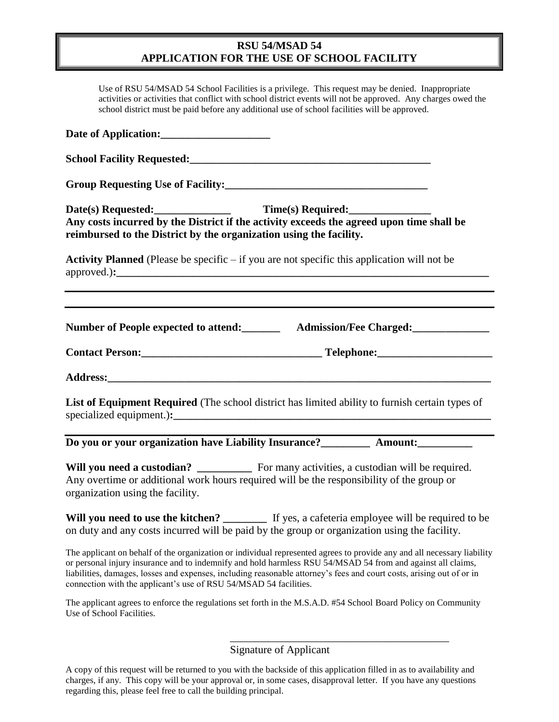#### **RSU 54/MSAD 54 APPLICATION FOR THE USE OF SCHOOL FACILITY**

| Use of RSU 54/MSAD 54 School Facilities is a privilege. This request may be denied. Inappropriate<br>activities or activities that conflict with school district events will not be approved. Any charges owed the<br>school district must be paid before any additional use of school facilities will be approved. |  |
|---------------------------------------------------------------------------------------------------------------------------------------------------------------------------------------------------------------------------------------------------------------------------------------------------------------------|--|
|                                                                                                                                                                                                                                                                                                                     |  |
|                                                                                                                                                                                                                                                                                                                     |  |
|                                                                                                                                                                                                                                                                                                                     |  |
| Date(s) Requested: Time(s) Required:<br>Any costs incurred by the District if the activity exceeds the agreed upon time shall be                                                                                                                                                                                    |  |
| reimbursed to the District by the organization using the facility.<br><b>Activity Planned</b> (Please be specific $-$ if you are not specific this application will not be                                                                                                                                          |  |
|                                                                                                                                                                                                                                                                                                                     |  |
| Number of People expected to attend: __________ Admission/Fee Charged: __________                                                                                                                                                                                                                                   |  |
|                                                                                                                                                                                                                                                                                                                     |  |
|                                                                                                                                                                                                                                                                                                                     |  |
| List of Equipment Required (The school district has limited ability to furnish certain types of                                                                                                                                                                                                                     |  |
| Do you or your organization have Liability Insurance?____________ Amount:_________                                                                                                                                                                                                                                  |  |
| Will you need a custodian? ____________ For many activities, a custodian will be required.<br>Any overtime or additional work hours required will be the responsibility of the group or<br>organization using the facility.                                                                                         |  |
| Will you need to use the kitchen? _________ If yes, a cafeteria employee will be required to be<br>on duty and any costs incurred will be paid by the group or organization using the facility.                                                                                                                     |  |
| $\frac{1}{211}$ , $\frac{1}{21}$ , $\frac{1}{21}$ , $\frac{1}{21}$ , $\frac{1}{21}$ , $\frac{1}{21}$ , $\frac{1}{21}$ , $\frac{1}{21}$ , $\frac{1}{21}$ , $\frac{1}{21}$ , $\frac{1}{21}$ , $\frac{1}{21}$ , $\frac{1}{21}$ , $\frac{1}{21}$ , $\frac{1}{21}$ , $\frac{1}{21}$ , $\frac{1}{21}$ ,                   |  |

The applicant on behalf of the organization or individual represented agrees to provide any and all necessary liability or personal injury insurance and to indemnify and hold harmless RSU 54/MSAD 54 from and against all claims, liabilities, damages, losses and expenses, including reasonable attorney's fees and court costs, arising out of or in connection with the applicant's use of RSU 54/MSAD 54 facilities.

The applicant agrees to enforce the regulations set forth in the M.S.A.D. #54 School Board Policy on Community Use of School Facilities.

Signature of Applicant

\_\_\_\_\_\_\_\_\_\_\_\_\_\_\_\_\_\_\_\_\_\_\_\_\_\_\_\_\_\_\_\_\_\_\_\_\_\_\_\_

A copy of this request will be returned to you with the backside of this application filled in as to availability and charges, if any. This copy will be your approval or, in some cases, disapproval letter. If you have any questions regarding this, please feel free to call the building principal.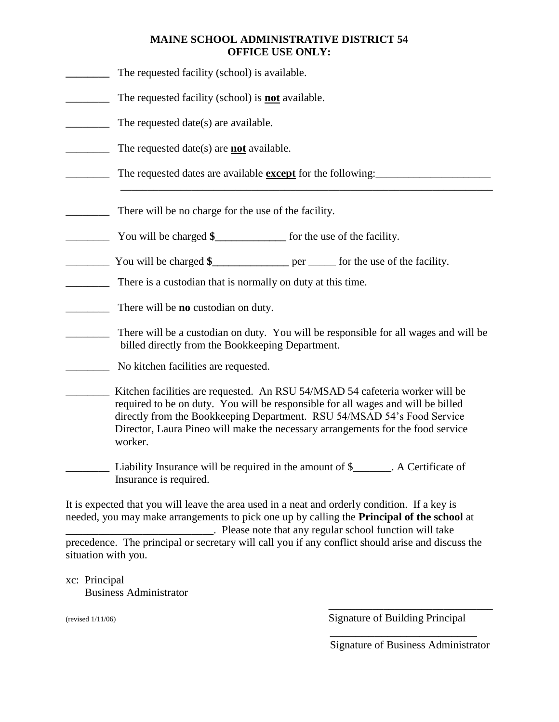#### **MAINE SCHOOL ADMINISTRATIVE DISTRICT 54 OFFICE USE ONLY:**

| The requested facility (school) is available.                                                                                                                                                                                                                                                                                             |
|-------------------------------------------------------------------------------------------------------------------------------------------------------------------------------------------------------------------------------------------------------------------------------------------------------------------------------------------|
| The requested facility (school) is <b>not</b> available.                                                                                                                                                                                                                                                                                  |
| The requested date(s) are available.                                                                                                                                                                                                                                                                                                      |
| The requested date(s) are <b>not</b> available.                                                                                                                                                                                                                                                                                           |
| The requested dates are available <b>except</b> for the following:                                                                                                                                                                                                                                                                        |
| There will be no charge for the use of the facility.                                                                                                                                                                                                                                                                                      |
|                                                                                                                                                                                                                                                                                                                                           |
| You will be charged \$__________________ per _______ for the use of the facility.                                                                                                                                                                                                                                                         |
| There is a custodian that is normally on duty at this time.                                                                                                                                                                                                                                                                               |
| There will be <b>no</b> custodian on duty.                                                                                                                                                                                                                                                                                                |
| There will be a custodian on duty. You will be responsible for all wages and will be<br>billed directly from the Bookkeeping Department.                                                                                                                                                                                                  |
| No kitchen facilities are requested.                                                                                                                                                                                                                                                                                                      |
| Kitchen facilities are requested. An RSU 54/MSAD 54 cafeteria worker will be<br>required to be on duty. You will be responsible for all wages and will be billed<br>directly from the Bookkeeping Department. RSU 54/MSAD 54's Food Service<br>Director, Laura Pineo will make the necessary arrangements for the food service<br>worker. |
| Liability Insurance will be required in the amount of \$_______. A Certificate of<br>Insurance is required.                                                                                                                                                                                                                               |
| It is expected that you will leave the area used in a neat and orderly condition. If a key is<br>needed, you may make arrangements to pick one up by calling the Principal of the school at                                                                                                                                               |

\_\_\_\_\_\_\_\_\_\_\_\_\_\_\_\_\_\_\_\_\_\_\_\_\_\_\_. Please note that any regular school function will take precedence. The principal or secretary will call you if any conflict should arise and discuss the situation with you.

xc: Principal Business Administrator

\_\_\_\_\_\_\_\_\_\_\_\_\_\_\_\_\_\_\_\_\_\_\_\_\_\_\_\_\_\_ (revised 1/11/06) Signature of Building Principal

\_\_\_\_\_\_\_\_\_\_\_\_\_\_\_\_\_\_\_\_\_\_\_

Signature of Business Administrator